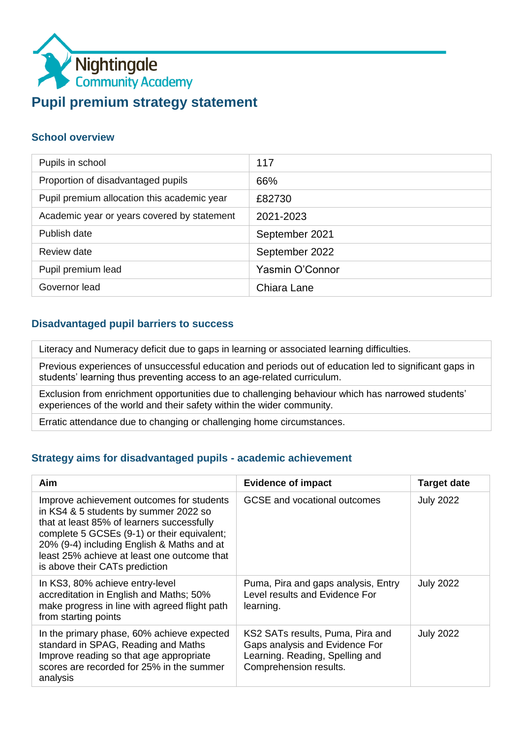

#### **School overview**

| Pupils in school                            | 117             |
|---------------------------------------------|-----------------|
| Proportion of disadvantaged pupils          | 66%             |
| Pupil premium allocation this academic year | £82730          |
| Academic year or years covered by statement | 2021-2023       |
| Publish date                                | September 2021  |
| Review date                                 | September 2022  |
| Pupil premium lead                          | Yasmin O'Connor |
| Governor lead                               | Chiara Lane     |

#### **Disadvantaged pupil barriers to success**

Literacy and Numeracy deficit due to gaps in learning or associated learning difficulties.

Previous experiences of unsuccessful education and periods out of education led to significant gaps in students' learning thus preventing access to an age-related curriculum.

Exclusion from enrichment opportunities due to challenging behaviour which has narrowed students' experiences of the world and their safety within the wider community.

Erratic attendance due to changing or challenging home circumstances.

#### **Strategy aims for disadvantaged pupils - academic achievement**

| Aim                                                                                                                                                                                                                                                                                                            | <b>Evidence of impact</b>                                                                                                       | <b>Target date</b> |
|----------------------------------------------------------------------------------------------------------------------------------------------------------------------------------------------------------------------------------------------------------------------------------------------------------------|---------------------------------------------------------------------------------------------------------------------------------|--------------------|
| Improve achievement outcomes for students<br>in KS4 & 5 students by summer 2022 so<br>that at least 85% of learners successfully<br>complete 5 GCSEs (9-1) or their equivalent;<br>20% (9-4) including English & Maths and at<br>least 25% achieve at least one outcome that<br>is above their CATs prediction | GCSE and vocational outcomes                                                                                                    | <b>July 2022</b>   |
| In KS3, 80% achieve entry-level<br>accreditation in English and Maths; 50%<br>make progress in line with agreed flight path<br>from starting points                                                                                                                                                            | Puma, Pira and gaps analysis, Entry<br>Level results and Evidence For<br>learning.                                              | <b>July 2022</b>   |
| In the primary phase, 60% achieve expected<br>standard in SPAG, Reading and Maths<br>Improve reading so that age appropriate<br>scores are recorded for 25% in the summer<br>analysis                                                                                                                          | KS2 SATs results, Puma, Pira and<br>Gaps analysis and Evidence For<br>Learning. Reading, Spelling and<br>Comprehension results. | <b>July 2022</b>   |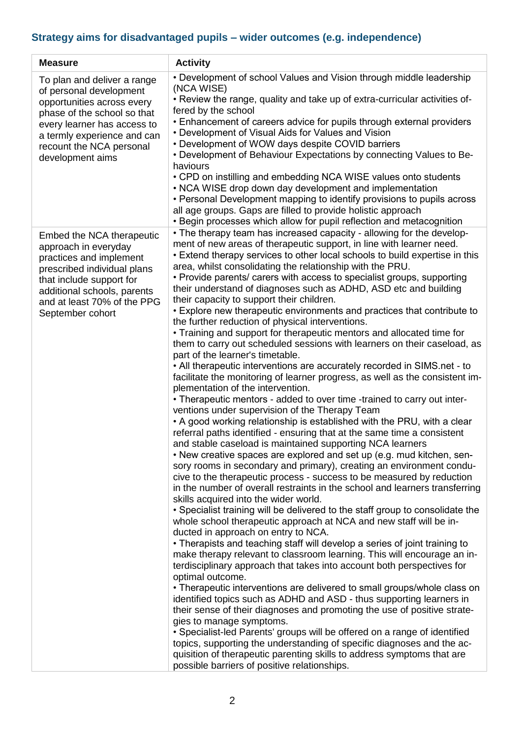# **Strategy aims for disadvantaged pupils – wider outcomes (e.g. independence)**

| <b>Measure</b>                                                                                                                                                                                                                    | <b>Activity</b>                                                                                                                                                                                                                                                                                                                                                                                                                                                                                                                                                                                                                                                                                                                                                                                                                                                                                                                                                                                                                                                                                                                                                                                                                                                                                                                                                                                                                                                                                                                                                                                                                                                                                                                                                                                                                                                                                                                                                                                                                                                                                                                                                                                                                                                                                                                                                                                                                                                                                                                                                                                                                                                                                                   |
|-----------------------------------------------------------------------------------------------------------------------------------------------------------------------------------------------------------------------------------|-------------------------------------------------------------------------------------------------------------------------------------------------------------------------------------------------------------------------------------------------------------------------------------------------------------------------------------------------------------------------------------------------------------------------------------------------------------------------------------------------------------------------------------------------------------------------------------------------------------------------------------------------------------------------------------------------------------------------------------------------------------------------------------------------------------------------------------------------------------------------------------------------------------------------------------------------------------------------------------------------------------------------------------------------------------------------------------------------------------------------------------------------------------------------------------------------------------------------------------------------------------------------------------------------------------------------------------------------------------------------------------------------------------------------------------------------------------------------------------------------------------------------------------------------------------------------------------------------------------------------------------------------------------------------------------------------------------------------------------------------------------------------------------------------------------------------------------------------------------------------------------------------------------------------------------------------------------------------------------------------------------------------------------------------------------------------------------------------------------------------------------------------------------------------------------------------------------------------------------------------------------------------------------------------------------------------------------------------------------------------------------------------------------------------------------------------------------------------------------------------------------------------------------------------------------------------------------------------------------------------------------------------------------------------------------------------------------------|
| To plan and deliver a range<br>of personal development<br>opportunities across every<br>phase of the school so that<br>every learner has access to<br>a termly experience and can<br>recount the NCA personal<br>development aims | • Development of school Values and Vision through middle leadership<br>(NCA WISE)<br>. Review the range, quality and take up of extra-curricular activities of-<br>fered by the school<br>• Enhancement of careers advice for pupils through external providers<br>• Development of Visual Aids for Values and Vision<br>• Development of WOW days despite COVID barriers<br>. Development of Behaviour Expectations by connecting Values to Be-<br>haviours<br>• CPD on instilling and embedding NCA WISE values onto students<br>• NCA WISE drop down day development and implementation<br>• Personal Development mapping to identify provisions to pupils across<br>all age groups. Gaps are filled to provide holistic approach<br>• Begin processes which allow for pupil reflection and metacognition                                                                                                                                                                                                                                                                                                                                                                                                                                                                                                                                                                                                                                                                                                                                                                                                                                                                                                                                                                                                                                                                                                                                                                                                                                                                                                                                                                                                                                                                                                                                                                                                                                                                                                                                                                                                                                                                                                      |
| Embed the NCA therapeutic<br>approach in everyday<br>practices and implement<br>prescribed individual plans<br>that include support for<br>additional schools, parents<br>and at least 70% of the PPG<br>September cohort         | • The therapy team has increased capacity - allowing for the develop-<br>ment of new areas of therapeutic support, in line with learner need.<br>• Extend therapy services to other local schools to build expertise in this<br>area, whilst consolidating the relationship with the PRU.<br>• Provide parents/ carers with access to specialist groups, supporting<br>their understand of diagnoses such as ADHD, ASD etc and building<br>their capacity to support their children.<br>• Explore new therapeutic environments and practices that contribute to<br>the further reduction of physical interventions.<br>• Training and support for therapeutic mentors and allocated time for<br>them to carry out scheduled sessions with learners on their caseload, as<br>part of the learner's timetable.<br>• All therapeutic interventions are accurately recorded in SIMS.net - to<br>facilitate the monitoring of learner progress, as well as the consistent im-<br>plementation of the intervention.<br>• Therapeutic mentors - added to over time -trained to carry out inter-<br>ventions under supervision of the Therapy Team<br>• A good working relationship is established with the PRU, with a clear<br>referral paths identified - ensuring that at the same time a consistent<br>and stable caseload is maintained supporting NCA learners<br>• New creative spaces are explored and set up (e.g. mud kitchen, sen-<br>sory rooms in secondary and primary), creating an environment condu-<br>cive to the therapeutic process - success to be measured by reduction<br>in the number of overall restraints in the school and learners transferring<br>skills acquired into the wider world.<br>• Specialist training will be delivered to the staff group to consolidate the<br>whole school therapeutic approach at NCA and new staff will be in-<br>ducted in approach on entry to NCA.<br>• Therapists and teaching staff will develop a series of joint training to<br>make therapy relevant to classroom learning. This will encourage an in-<br>terdisciplinary approach that takes into account both perspectives for<br>optimal outcome.<br>• Therapeutic interventions are delivered to small groups/whole class on<br>identified topics such as ADHD and ASD - thus supporting learners in<br>their sense of their diagnoses and promoting the use of positive strate-<br>gies to manage symptoms.<br>• Specialist-led Parents' groups will be offered on a range of identified<br>topics, supporting the understanding of specific diagnoses and the ac-<br>quisition of therapeutic parenting skills to address symptoms that are<br>possible barriers of positive relationships. |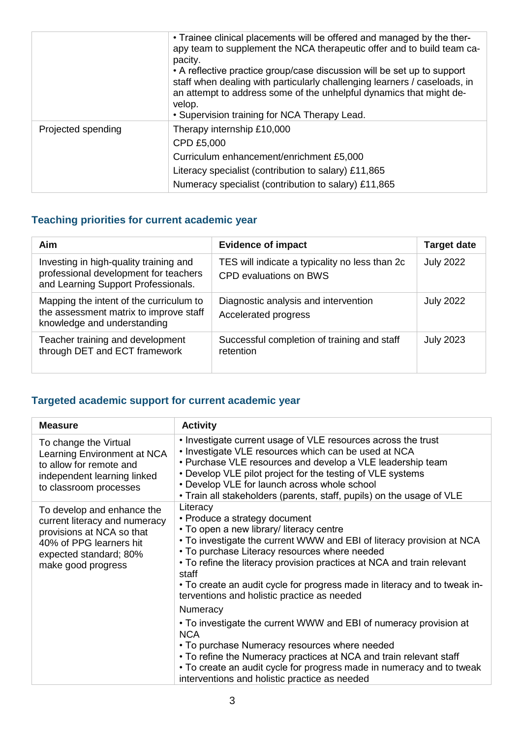|                    | • Trainee clinical placements will be offered and managed by the ther-<br>apy team to supplement the NCA therapeutic offer and to build team ca-<br>pacity.<br>• A reflective practice group/case discussion will be set up to support<br>staff when dealing with particularly challenging learners / caseloads, in<br>an attempt to address some of the unhelpful dynamics that might de-<br>velop.<br>• Supervision training for NCA Therapy Lead. |
|--------------------|------------------------------------------------------------------------------------------------------------------------------------------------------------------------------------------------------------------------------------------------------------------------------------------------------------------------------------------------------------------------------------------------------------------------------------------------------|
| Projected spending | Therapy internship £10,000<br>CPD £5,000<br>Curriculum enhancement/enrichment £5,000<br>Literacy specialist (contribution to salary) £11,865<br>Numeracy specialist (contribution to salary) £11,865                                                                                                                                                                                                                                                 |

## **Teaching priorities for current academic year**

| Aim                                                                                                                    | <b>Evidence of impact</b>                                                       | <b>Target date</b> |
|------------------------------------------------------------------------------------------------------------------------|---------------------------------------------------------------------------------|--------------------|
| Investing in high-quality training and<br>professional development for teachers<br>and Learning Support Professionals. | TES will indicate a typicality no less than 2c<br><b>CPD evaluations on BWS</b> | <b>July 2022</b>   |
| Mapping the intent of the curriculum to<br>the assessment matrix to improve staff<br>knowledge and understanding       | Diagnostic analysis and intervention<br>Accelerated progress                    | <b>July 2022</b>   |
| Teacher training and development<br>through DET and ECT framework                                                      | Successful completion of training and staff<br>retention                        | <b>July 2023</b>   |

## **Targeted academic support for current academic year**

| <b>Measure</b>                                                                                                                                                      | <b>Activity</b>                                                                                                                                                                                                                                                                                                                                                                                                                                                                                                               |
|---------------------------------------------------------------------------------------------------------------------------------------------------------------------|-------------------------------------------------------------------------------------------------------------------------------------------------------------------------------------------------------------------------------------------------------------------------------------------------------------------------------------------------------------------------------------------------------------------------------------------------------------------------------------------------------------------------------|
| To change the Virtual<br>Learning Environment at NCA<br>to allow for remote and<br>independent learning linked<br>to classroom processes                            | • Investigate current usage of VLE resources across the trust<br>• Investigate VLE resources which can be used at NCA<br>• Purchase VLE resources and develop a VLE leadership team<br>• Develop VLE pilot project for the testing of VLE systems<br>• Develop VLE for launch across whole school<br>• Train all stakeholders (parents, staff, pupils) on the usage of VLE                                                                                                                                                    |
| To develop and enhance the<br>current literacy and numeracy<br>provisions at NCA so that<br>40% of PPG learners hit<br>expected standard; 80%<br>make good progress | Literacy<br>• Produce a strategy document<br>• To open a new library/ literacy centre<br>• To investigate the current WWW and EBI of literacy provision at NCA<br>• To purchase Literacy resources where needed<br>• To refine the literacy provision practices at NCA and train relevant<br>staff<br>• To create an audit cycle for progress made in literacy and to tweak in-<br>terventions and holistic practice as needed<br>Numeracy<br>• To investigate the current WWW and EBI of numeracy provision at<br><b>NCA</b> |
|                                                                                                                                                                     | • To purchase Numeracy resources where needed<br>• To refine the Numeracy practices at NCA and train relevant staff<br>• To create an audit cycle for progress made in numeracy and to tweak<br>interventions and holistic practice as needed                                                                                                                                                                                                                                                                                 |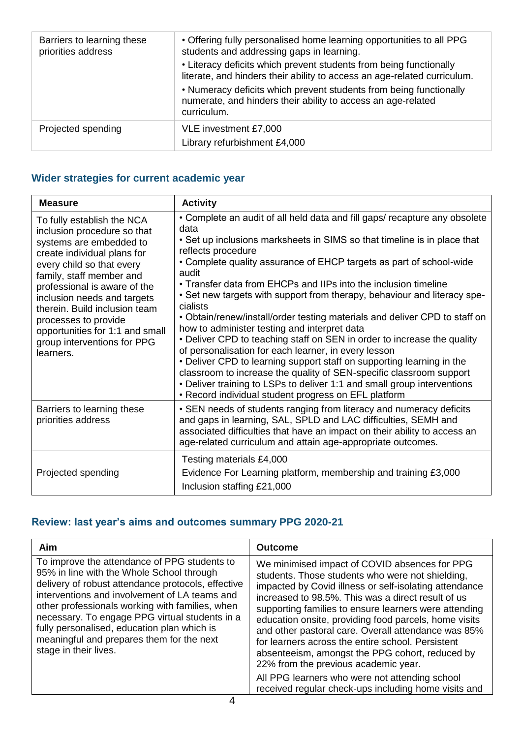| Barriers to learning these<br>priorities address | • Offering fully personalised home learning opportunities to all PPG<br>students and addressing gaps in learning.<br>• Literacy deficits which prevent students from being functionally<br>literate, and hinders their ability to access an age-related curriculum.<br>• Numeracy deficits which prevent students from being functionally<br>numerate, and hinders their ability to access an age-related |
|--------------------------------------------------|-----------------------------------------------------------------------------------------------------------------------------------------------------------------------------------------------------------------------------------------------------------------------------------------------------------------------------------------------------------------------------------------------------------|
|                                                  | curriculum.                                                                                                                                                                                                                                                                                                                                                                                               |
| Projected spending                               | VLE investment £7,000<br>Library refurbishment £4,000                                                                                                                                                                                                                                                                                                                                                     |

### **Wider strategies for current academic year**

| <b>Measure</b>                                                                                                                                                                                                                                                                                                                                                                      | <b>Activity</b>                                                                                                                                                                                                                                                                                                                                                                                                                                                                                                                                                                                                                                                                                                                                                                                                                                                                                                                                                                     |
|-------------------------------------------------------------------------------------------------------------------------------------------------------------------------------------------------------------------------------------------------------------------------------------------------------------------------------------------------------------------------------------|-------------------------------------------------------------------------------------------------------------------------------------------------------------------------------------------------------------------------------------------------------------------------------------------------------------------------------------------------------------------------------------------------------------------------------------------------------------------------------------------------------------------------------------------------------------------------------------------------------------------------------------------------------------------------------------------------------------------------------------------------------------------------------------------------------------------------------------------------------------------------------------------------------------------------------------------------------------------------------------|
| To fully establish the NCA<br>inclusion procedure so that<br>systems are embedded to<br>create individual plans for<br>every child so that every<br>family, staff member and<br>professional is aware of the<br>inclusion needs and targets<br>therein. Build inclusion team<br>processes to provide<br>opportunities for 1:1 and small<br>group interventions for PPG<br>learners. | • Complete an audit of all held data and fill gaps/ recapture any obsolete<br>data<br>• Set up inclusions marksheets in SIMS so that timeline is in place that<br>reflects procedure<br>• Complete quality assurance of EHCP targets as part of school-wide<br>audit<br>• Transfer data from EHCPs and IIPs into the inclusion timeline<br>• Set new targets with support from therapy, behaviour and literacy spe-<br>cialists<br>• Obtain/renew/install/order testing materials and deliver CPD to staff on<br>how to administer testing and interpret data<br>• Deliver CPD to teaching staff on SEN in order to increase the quality<br>of personalisation for each learner, in every lesson<br>• Deliver CPD to learning support staff on supporting learning in the<br>classroom to increase the quality of SEN-specific classroom support<br>• Deliver training to LSPs to deliver 1:1 and small group interventions<br>• Record individual student progress on EFL platform |
| Barriers to learning these<br>priorities address                                                                                                                                                                                                                                                                                                                                    | • SEN needs of students ranging from literacy and numeracy deficits<br>and gaps in learning, SAL, SPLD and LAC difficulties, SEMH and<br>associated difficulties that have an impact on their ability to access an<br>age-related curriculum and attain age-appropriate outcomes.                                                                                                                                                                                                                                                                                                                                                                                                                                                                                                                                                                                                                                                                                                   |
| Projected spending                                                                                                                                                                                                                                                                                                                                                                  | Testing materials £4,000<br>Evidence For Learning platform, membership and training £3,000<br>Inclusion staffing £21,000                                                                                                                                                                                                                                                                                                                                                                                                                                                                                                                                                                                                                                                                                                                                                                                                                                                            |

### **Review: last year's aims and outcomes summary PPG 2020-21**

| Aim                                                                                                                                                                                                                                                                                                                                                                                                                        | <b>Outcome</b>                                                                                                                                                                                                                                                                                                                                                                                                                                                                                                                                                                                                                                       |
|----------------------------------------------------------------------------------------------------------------------------------------------------------------------------------------------------------------------------------------------------------------------------------------------------------------------------------------------------------------------------------------------------------------------------|------------------------------------------------------------------------------------------------------------------------------------------------------------------------------------------------------------------------------------------------------------------------------------------------------------------------------------------------------------------------------------------------------------------------------------------------------------------------------------------------------------------------------------------------------------------------------------------------------------------------------------------------------|
| To improve the attendance of PPG students to<br>95% in line with the Whole School through<br>delivery of robust attendance protocols, effective<br>interventions and involvement of LA teams and<br>other professionals working with families, when<br>necessary. To engage PPG virtual students in a<br>fully personalised, education plan which is<br>meaningful and prepares them for the next<br>stage in their lives. | We minimised impact of COVID absences for PPG<br>students. Those students who were not shielding,<br>impacted by Covid illness or self-isolating attendance<br>increased to 98.5%. This was a direct result of us<br>supporting families to ensure learners were attending<br>education onsite, providing food parcels, home visits<br>and other pastoral care. Overall attendance was 85%<br>for learners across the entire school. Persistent<br>absenteeism, amongst the PPG cohort, reduced by<br>22% from the previous academic year.<br>All PPG learners who were not attending school<br>received regular check-ups including home visits and |